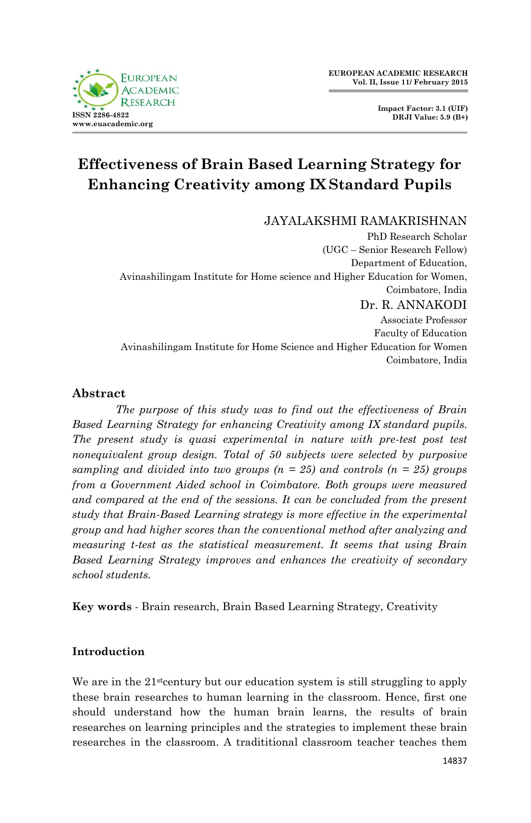**EUROPEAN ACADEMIC RESEARCH Vol. II, Issue 11/ February 2015**

> **Impact Factor: 3.1 (UIF) DRJI Value: 5.9 (B+)**

# **Effectiveness of Brain Based Learning Strategy for Enhancing Creativity among IX Standard Pupils**

JAYALAKSHMI RAMAKRISHNAN

PhD Research Scholar (UGC – Senior Research Fellow) Department of Education, Avinashilingam Institute for Home science and Higher Education for Women, Coimbatore, India Dr. R. ANNAKODI Associate Professor Faculty of Education Avinashilingam Institute for Home Science and Higher Education for Women Coimbatore, India

## **Abstract**

*The purpose of this study was to find out the effectiveness of Brain Based Learning Strategy for enhancing Creativity among IX standard pupils. The present study is quasi experimental in nature with pre-test post test nonequivalent group design. Total of 50 subjects were selected by purposive sampling and divided into two groups (n = 25) and controls (n = 25) groups from a Government Aided school in Coimbatore. Both groups were measured and compared at the end of the sessions. It can be concluded from the present study that Brain-Based Learning strategy is more effective in the experimental group and had higher scores than the conventional method after analyzing and measuring t-test as the statistical measurement. It seems that using Brain Based Learning Strategy improves and enhances the creativity of secondary school students.*

**Key words** - Brain research, Brain Based Learning Strategy, Creativity

# **Introduction**

We are in the  $21$ <sup>st</sup>century but our education system is still struggling to apply these brain researches to human learning in the classroom. Hence, first one should understand how the human brain learns, the results of brain researches on learning principles and the strategies to implement these brain researches in the classroom. A tradititional classroom teacher teaches them

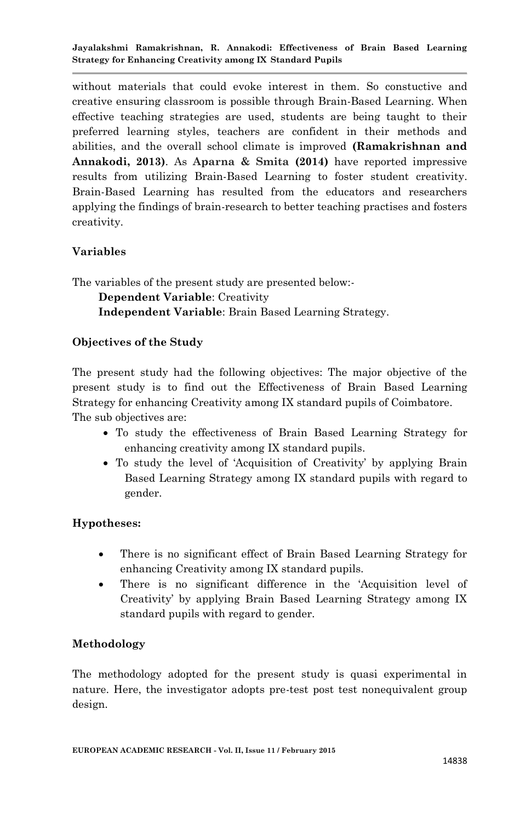without materials that could evoke interest in them. So constuctive and creative ensuring classroom is possible through Brain-Based Learning. When effective teaching strategies are used, students are being taught to their preferred learning styles, teachers are confident in their methods and abilities, and the overall school climate is improved **(Ramakrishnan and Annakodi, 2013)**. As **Aparna & Smita (2014)** have reported impressive results from utilizing Brain-Based Learning to foster student creativity. Brain-Based Learning has resulted from the educators and researchers applying the findings of brain-research to better teaching practises and fosters creativity.

## **Variables**

The variables of the present study are presented below:-

**Dependent Variable**: Creativity

**Independent Variable**: Brain Based Learning Strategy.

#### **Objectives of the Study**

The present study had the following objectives: The major objective of the present study is to find out the Effectiveness of Brain Based Learning Strategy for enhancing Creativity among IX standard pupils of Coimbatore. The sub objectives are:

- To study the effectiveness of Brain Based Learning Strategy for enhancing creativity among IX standard pupils.
- To study the level of 'Acquisition of Creativity' by applying Brain Based Learning Strategy among IX standard pupils with regard to gender.

## **Hypotheses:**

- There is no significant effect of Brain Based Learning Strategy for enhancing Creativity among IX standard pupils.
- There is no significant difference in the 'Acquisition level of Creativity' by applying Brain Based Learning Strategy among IX standard pupils with regard to gender.

## **Methodology**

The methodology adopted for the present study is quasi experimental in nature. Here, the investigator adopts pre-test post test nonequivalent group design.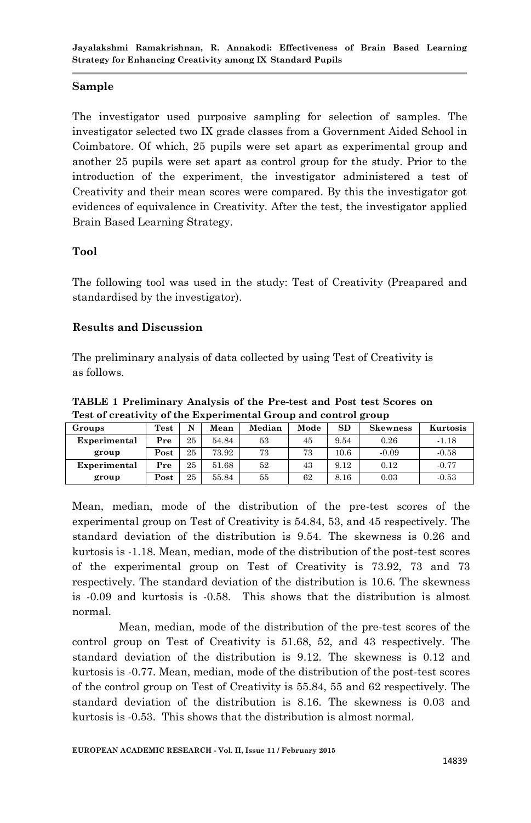#### **Sample**

The investigator used purposive sampling for selection of samples. The investigator selected two IX grade classes from a Government Aided School in Coimbatore. Of which, 25 pupils were set apart as experimental group and another 25 pupils were set apart as control group for the study. Prior to the introduction of the experiment, the investigator administered a test of Creativity and their mean scores were compared. By this the investigator got evidences of equivalence in Creativity. After the test, the investigator applied Brain Based Learning Strategy.

#### **Tool**

The following tool was used in the study: Test of Creativity (Preapared and standardised by the investigator).

#### **Results and Discussion**

The preliminary analysis of data collected by using Test of Creativity is as follows.

**TABLE 1 Preliminary Analysis of the Pre-test and Post test Scores on Test of creativity of the Experimental Group and control group**

| Groups       | $\operatorname{\mathbf{Test}}$ | N  | Mean  | Median | Mode | <b>SD</b> | <b>Skewness</b> | Kurtosis |
|--------------|--------------------------------|----|-------|--------|------|-----------|-----------------|----------|
| Experimental | Pre                            | 25 | 54.84 | 53     | 45   | 9.54      | 0.26            | $-1.18$  |
| group        | Post                           | 25 | 73.92 | 73     | 73   | 10.6      | $-0.09$         | $-0.58$  |
| Experimental | Pre                            | 25 | 51.68 | 52     | 43   | 9.12      | 0.12            | $-0.77$  |
| group        | Post                           | 25 | 55.84 | 55     | 62   | 8.16      | 0.03            | $-0.53$  |

Mean, median, mode of the distribution of the pre-test scores of the experimental group on Test of Creativity is 54.84, 53, and 45 respectively. The standard deviation of the distribution is 9.54. The skewness is 0.26 and kurtosis is -1.18. Mean, median, mode of the distribution of the post-test scores of the experimental group on Test of Creativity is 73.92, 73 and 73 respectively. The standard deviation of the distribution is 10.6. The skewness is -0.09 and kurtosis is -0.58. This shows that the distribution is almost normal.

Mean, median, mode of the distribution of the pre-test scores of the control group on Test of Creativity is 51.68, 52, and 43 respectively. The standard deviation of the distribution is 9.12. The skewness is 0.12 and kurtosis is -0.77. Mean, median, mode of the distribution of the post-test scores of the control group on Test of Creativity is 55.84, 55 and 62 respectively. The standard deviation of the distribution is 8.16. The skewness is 0.03 and kurtosis is -0.53. This shows that the distribution is almost normal.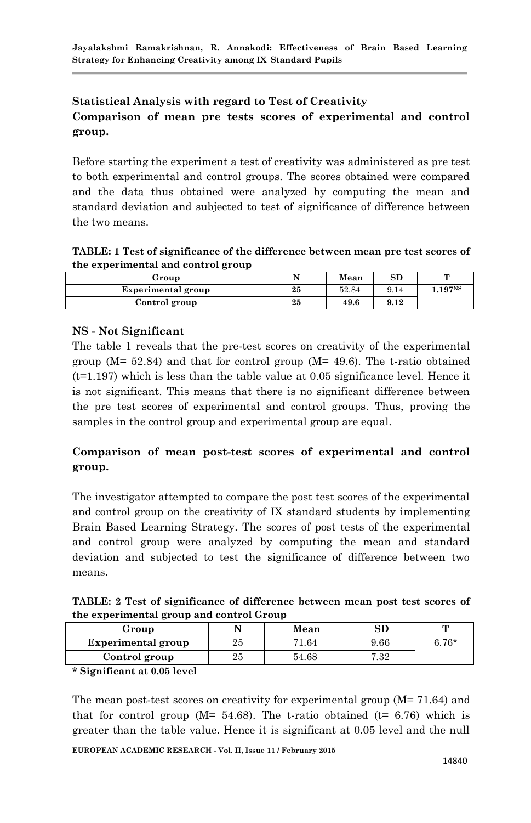# **Statistical Analysis with regard to Test of Creativity Comparison of mean pre tests scores of experimental and control group.**

Before starting the experiment a test of creativity was administered as pre test to both experimental and control groups. The scores obtained were compared and the data thus obtained were analyzed by computing the mean and standard deviation and subjected to test of significance of difference between the two means.

**TABLE: 1 Test of significance of the difference between mean pre test scores of the experimental and control group**

| Group              | N  | Mean  | SD   |                     |
|--------------------|----|-------|------|---------------------|
| Experimental group | 25 | 52.84 | 9.14 | 1.197 <sup>NS</sup> |
| Control group      | 25 | 49.6  | 9.12 |                     |

## **NS - Not Significant**

The table 1 reveals that the pre-test scores on creativity of the experimental group (M= 52.84) and that for control group (M= 49.6). The t-ratio obtained  $(t=1.197)$  which is less than the table value at 0.05 significance level. Hence it is not significant. This means that there is no significant difference between the pre test scores of experimental and control groups. Thus, proving the samples in the control group and experimental group are equal.

# **Comparison of mean post-test scores of experimental and control group.**

The investigator attempted to compare the post test scores of the experimental and control group on the creativity of IX standard students by implementing Brain Based Learning Strategy. The scores of post tests of the experimental and control group were analyzed by computing the mean and standard deviation and subjected to test the significance of difference between two means.

**TABLE: 2 Test of significance of difference between mean post test scores of the experimental group and control Group**

| Group                     |    | Mean  | $_{\rm SD}$ |         |
|---------------------------|----|-------|-------------|---------|
| <b>Experimental group</b> | 25 | 71.64 | 9.66        | $6.76*$ |
| Control group             | 25 | 54.68 | 7.32        |         |

**\* Significant at 0.05 level** 

The mean post-test scores on creativity for experimental group  $(M=71.64)$  and that for control group ( $M = 54.68$ ). The t-ratio obtained ( $t = 6.76$ ) which is greater than the table value. Hence it is significant at 0.05 level and the null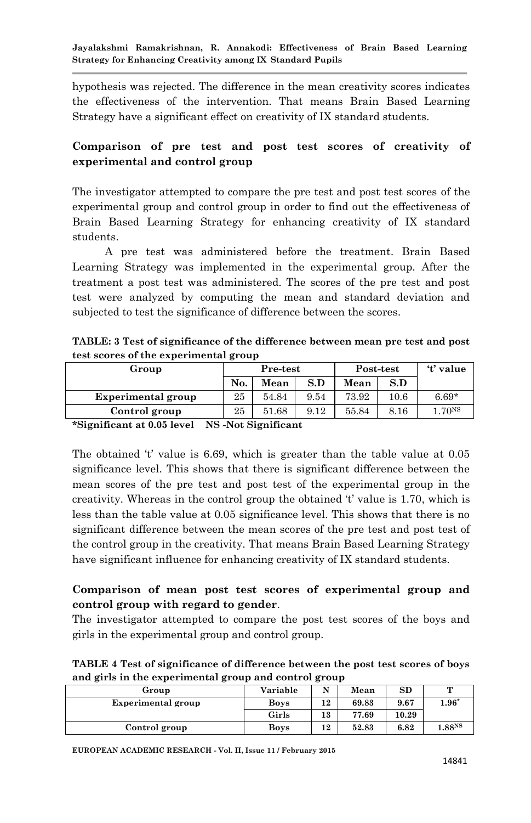hypothesis was rejected. The difference in the mean creativity scores indicates the effectiveness of the intervention. That means Brain Based Learning Strategy have a significant effect on creativity of IX standard students.

## **Comparison of pre test and post test scores of creativity of experimental and control group**

The investigator attempted to compare the pre test and post test scores of the experimental group and control group in order to find out the effectiveness of Brain Based Learning Strategy for enhancing creativity of IX standard students.

A pre test was administered before the treatment. Brain Based Learning Strategy was implemented in the experimental group. After the treatment a post test was administered. The scores of the pre test and post test were analyzed by computing the mean and standard deviation and subjected to test the significance of difference between the scores.

**TABLE: 3 Test of significance of the difference between mean pre test and post test scores of the experimental group**

| Group              | Pre-test |       |      | Post-test | 't' value |                    |
|--------------------|----------|-------|------|-----------|-----------|--------------------|
|                    | No.      | Mean  | S.D  | Mean      | S.D       |                    |
| Experimental group | 25       | 54.84 | 9.54 | 73.92     | $10.6\,$  | $6.69*$            |
| Control group      | 25       | 51.68 | 9.12 | 55.84     | 8.16      | 1.70 <sub>NS</sub> |

**\*Significant at 0.05 level NS -Not Significant**

The obtained 't' value is 6.69, which is greater than the table value at 0.05 significance level. This shows that there is significant difference between the mean scores of the pre test and post test of the experimental group in the creativity. Whereas in the control group the obtained 't' value is 1.70, which is less than the table value at 0.05 significance level. This shows that there is no significant difference between the mean scores of the pre test and post test of the control group in the creativity. That means Brain Based Learning Strategy have significant influence for enhancing creativity of IX standard students.

## **Comparison of mean post test scores of experimental group and control group with regard to gender**.

The investigator attempted to compare the post test scores of the boys and girls in the experimental group and control group.

**TABLE 4 Test of significance of difference between the post test scores of boys and girls in the experimental group and control group** 

| . .                | . . |             |    |       |       |                    |
|--------------------|-----|-------------|----|-------|-------|--------------------|
| Group              |     | Variable    | N  | Mean  | SD    | $\mathbf{r}$       |
| Experimental group |     | <b>Boys</b> | 12 | 69.83 | 9.67  | $1.96*$            |
|                    |     | Girls       | 13 | 77.69 | 10.29 |                    |
| Control group      |     | <b>Boys</b> | 12 | 52.83 | 6.82  | 1.88 <sup>NS</sup> |

**EUROPEAN ACADEMIC RESEARCH - Vol. II, Issue 11 / February 2015**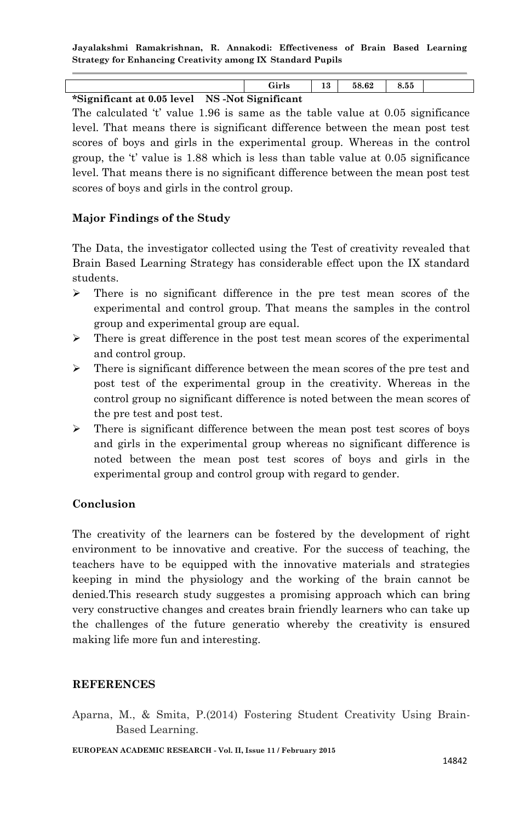**Jayalakshmi Ramakrishnan, R. Annakodi: Effectiveness of Brain Based Learning Strategy for Enhancing Creativity among IX Standard Pupils**

|                                               | Girls | 13 | 58.62 | 8.55 |  |
|-----------------------------------------------|-------|----|-------|------|--|
| *Significant at 0.05 level NS-Not Significant |       |    |       |      |  |

The calculated 't' value 1.96 is same as the table value at 0.05 significance level. That means there is significant difference between the mean post test scores of boys and girls in the experimental group. Whereas in the control group, the 't' value is 1.88 which is less than table value at 0.05 significance level. That means there is no significant difference between the mean post test scores of boys and girls in the control group.

#### **Major Findings of the Study**

The Data, the investigator collected using the Test of creativity revealed that Brain Based Learning Strategy has considerable effect upon the IX standard students.

- $\triangleright$  There is no significant difference in the pre test mean scores of the experimental and control group. That means the samples in the control group and experimental group are equal.
- $\triangleright$  There is great difference in the post test mean scores of the experimental and control group.
- $\triangleright$  There is significant difference between the mean scores of the pre test and post test of the experimental group in the creativity. Whereas in the control group no significant difference is noted between the mean scores of the pre test and post test.
- $\triangleright$  There is significant difference between the mean post test scores of boys and girls in the experimental group whereas no significant difference is noted between the mean post test scores of boys and girls in the experimental group and control group with regard to gender.

#### **Conclusion**

The creativity of the learners can be fostered by the development of right environment to be innovative and creative. For the success of teaching, the teachers have to be equipped with the innovative materials and strategies keeping in mind the physiology and the working of the brain cannot be denied.This research study suggestes a promising approach which can bring very constructive changes and creates brain friendly learners who can take up the challenges of the future generatio whereby the creativity is ensured making life more fun and interesting.

#### **REFERENCES**

Aparna, M., & Smita, P.(2014) Fostering Student Creativity Using Brain-Based Learning.

**EUROPEAN ACADEMIC RESEARCH - Vol. II, Issue 11 / February 2015**